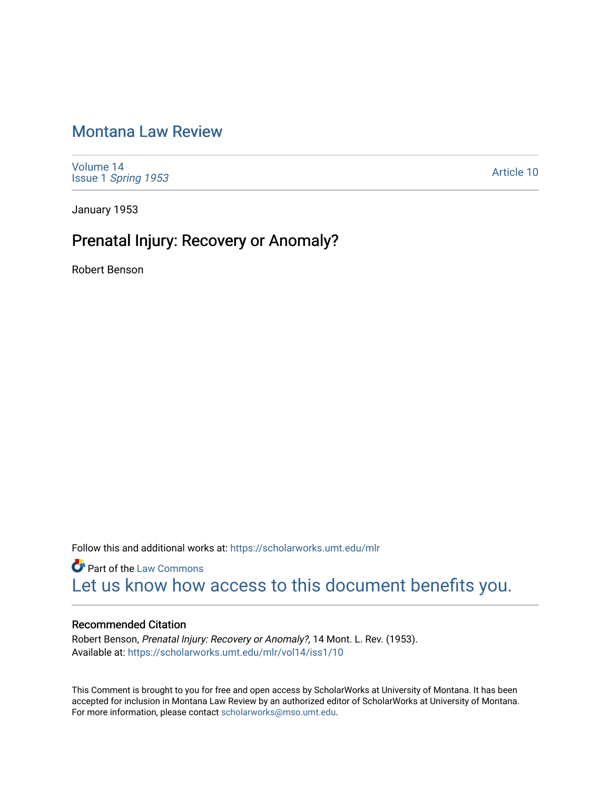## [Montana Law Review](https://scholarworks.umt.edu/mlr)

[Volume 14](https://scholarworks.umt.edu/mlr/vol14) Issue 1 [Spring 1953](https://scholarworks.umt.edu/mlr/vol14/iss1) 

[Article 10](https://scholarworks.umt.edu/mlr/vol14/iss1/10) 

January 1953

# Prenatal Injury: Recovery or Anomaly?

Robert Benson

Follow this and additional works at: [https://scholarworks.umt.edu/mlr](https://scholarworks.umt.edu/mlr?utm_source=scholarworks.umt.edu%2Fmlr%2Fvol14%2Fiss1%2F10&utm_medium=PDF&utm_campaign=PDFCoverPages) 

**Part of the [Law Commons](http://network.bepress.com/hgg/discipline/578?utm_source=scholarworks.umt.edu%2Fmlr%2Fvol14%2Fiss1%2F10&utm_medium=PDF&utm_campaign=PDFCoverPages)** [Let us know how access to this document benefits you.](https://goo.gl/forms/s2rGfXOLzz71qgsB2) 

## Recommended Citation

Robert Benson, Prenatal Injury: Recovery or Anomaly?, 14 Mont. L. Rev. (1953). Available at: [https://scholarworks.umt.edu/mlr/vol14/iss1/10](https://scholarworks.umt.edu/mlr/vol14/iss1/10?utm_source=scholarworks.umt.edu%2Fmlr%2Fvol14%2Fiss1%2F10&utm_medium=PDF&utm_campaign=PDFCoverPages)

This Comment is brought to you for free and open access by ScholarWorks at University of Montana. It has been accepted for inclusion in Montana Law Review by an authorized editor of ScholarWorks at University of Montana. For more information, please contact [scholarworks@mso.umt.edu.](mailto:scholarworks@mso.umt.edu)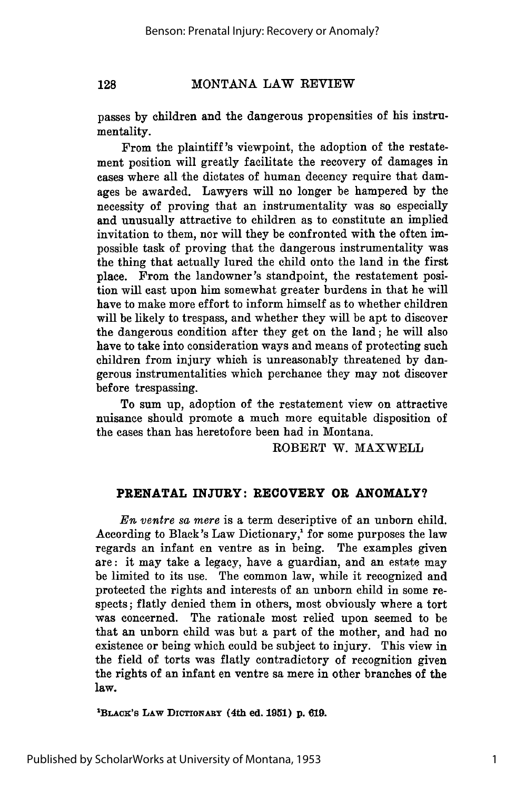passes by children and the dangerous propensities of his instrumentality.

From the plaintiff's viewpoint, the adoption of the restatement position will greatly facilitate the recovery of damages in cases where all the dictates of human decency require that damages be awarded. Lawyers will no longer be hampered **by** the necessity of proving that an instrumentality was so especially and unusually attractive to children as to constitute an implied invitation to them, nor will they be confronted with the often impossible task of proving that the dangerous instrumentality was the thing that actually lured the child onto the land in the first place. From the landowner 's standpoint, the restatement position will cast upon him somewhat greater burdens in that he will have to make more effort to inform himself as to whether children will be likely to trespass, and whether they will be apt to discover the dangerous condition after they get on the land; he will also have to take into consideration ways and means of protecting such children from injury which is unreasonably threatened **by** dangerous instrumentalities which perchance they may not discover before trespassing.

To sum up, adoption of the restatement view on attractive nuisance should promote a much more equitable disposition of the cases than has heretofore been had in Montana.

ROBERT W. MAXWELL

#### **PRENATAL INJURY: RECOVERY OR ANOMALY?**

*En ventre sa mere* is a term descriptive of an unborn child. According to Black's Law Dictionary,<sup>1</sup> for some purposes the law regards an infant en ventre as in being. The examples given are: it may take a legacy, have a guardian, and an estate may be limited to its use. The common law, while it recognized and protected the rights and interests of an unborn child in some respects; flatly denied them in others, most obviously where a tort was concerned. The rationale most relied upon seemed to be that an unborn child was but a part of the mother, and had no existence or being which could be subject to injury. This view in the field of torts was flatly contradictory of recognition given the rights of an infant en ventre sa mere in other branches of the law.

**1 BLAcx's LAW DIrIONARY (4th ed. 1951) p. 619.**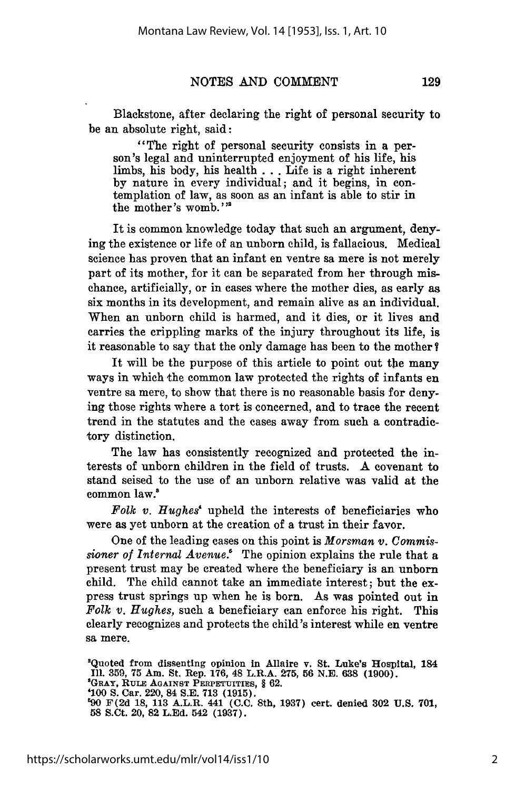Blackstone, after declaring the right of personal security to be an absolute right, said:

"The right of personal security consists in a person's legal and uninterrupted enjoyment of his life, his limbs, his body, his health **. .** . Life is a right inherent by nature in every individual; and it begins, in contemplation of law, as soon as an infant is able to stir in the mother's womb. **"'**

It is common knowledge today that such an argument, denying the existence or life of an unborn child, is fallacious. Medical science has proven that an infant en ventre sa mere is not merely part of its mother, for it can be separated from her through mischance, artificially, or in cases where the mother dies, as early as six months in its development, and remain alive as an individual. When an unborn child is harmed, and it dies, or it lives and carries the crippling marks of the injury throughout its life, is it reasonable to say that the only damage has been to the mother?

It will be the purpose of this article to point out the many ways in which the common law protected the rights of infants en ventre sa mere, to show that there is no reasonable basis for denying those rights where a tort is concerned, and to trace the recent trend in the statutes and the cases away from such a contradictory distinction.

The law has consistently recognized and protected the interests of unborn children in the field of trusts. A covenant to stand seised to the use of an unborn relative was valid at the common law.'

*Folk v. Hughes'* upheld the interests of beneficiaries who were as yet unborn at the creation of a trust in their favor.

One of the leading cases on this point is *Morsman v. Commissioner of Internal Avenue.!* The opinion explains the rule that a present trust may be created where the beneficiary is an unborn child. The child cannot take an immediate interest; but the express trust springs up when he is born. As was pointed out in *Folk v. Hughes,* such a beneficiary can enforce his right. This clearly recognizes and protects the child's interest while en ventre sa mere.

2 Quoted from dissenting opinion in Allaire v. St. Luke's Hospital, **<sup>184</sup> Ill.** 359, **75** Am. St. Rep. 176, 48 L.R.A. **275, 56** N.E. **638 (1900). <sup>3</sup> GRAY, RuLE AGAINST PERPETUITIES,** § 62. **'100 S.** Car. 220, 84 **S.E. 713 (1915). 690 F(2d 18, 113** A.L.R. 441 **(C.C.** 8th, **1937)** cert. denied **302 U.S. 701, 58** S.Ct. 20, **82 L.Ed.** 542 **(1937).**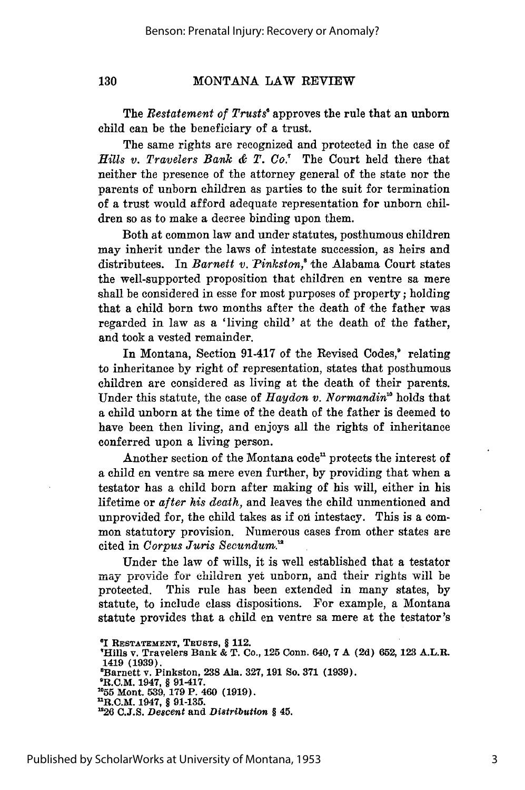130

The *Restatement of Trusts"* approves the rule that an unborn child can be the beneficiary of a trust.

The same rights are recognized and protected in the case of *Hills v. Travelers Bank & T. Co.'* The Court held there that neither the presence of the attorney general of the state nor the parents of unborn children as parties to the suit for termination of a trust would afford adequate representation for unborn children so as to make a decree binding upon them.

Both at common law and under statutes, posthumous children may inherit under the laws of intestate succession, as heirs and distributees. In *Barnett v. Pinkston,8* the Alabama Court states the well-supported proposition that children en ventre sa mere shall be considered in esse for most purposes of property; holding that a child born two months after the death of the father was regarded in law as a 'living child' at the death of the father, and took a vested remainder.

In Montana, Section 91-417 of the Revised Codes,<sup>®</sup> relating to inheritance by right of representation, states that posthumous children are considered as living at the death of their parents. Under this statute, the case of *Haydon v. Normandin'* holds that a child unborn at the time of the death of the father is deemed to have been then living, and enjoys all the rights of inheritance conferred upon a living person.

Another section of the Montana code" protects the interest of a child en ventre sa mere even further, by providing that when a testator has a child born after making of his will, either in his lifetime or *after his death,* and leaves the child unmentioned and unprovided for, the child takes as if on intestacy. This is a common statutory provision. Numerous cases from other states are cited in *Corpus Juris Secundum.'*

Under the law of wills, it is well established that a testator may provide for children yet unborn, and their rights will be protected. This rule has been extended in many states, by statute, to include class dispositions. For example, a Montana statute provides that a child en ventre sa mere at the testator's

**'Hills v. Travelers Bank & T. Co., 125 Conn. 640, 7 A (2d) 652, 123 A.L.R. 1419 (1939). <sup>8</sup> Barnett v. Pinkston, 238 Ala. 327, 191 So. 371 (1939). <sup>0</sup> R.C.M.** 1947, § **91-417. 155** Mont. **539, 179 P.** 460 **(1919).**

**<sup>&#</sup>x27;I RESTATEMENT, TRuSTS,** § **112.**

**<sup>&</sup>quot;R.C.M. 1947,** § **91-135. "26 C.J.S.** *Descent* **and** *Distribution* § **45.**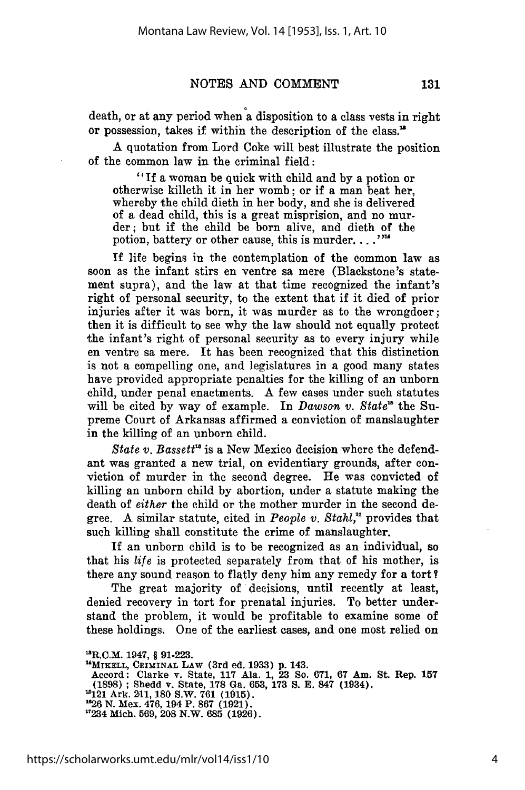131

death, or at any period when a disposition to a class vests in right or possession, takes if within the description of the class. '

A quotation from Lord Coke will best illustrate the position of the common law in the criminal field:

"If a woman be quick with child and by a potion or otherwise killeth it in her womb; or if a man beat her, whereby the child dieth in her body, and she is delivered of a dead child, this is a great misprision, and no murder; but if the child be born alive, and dieth of the potion, battery or other cause, this is murder. . . . '"

If life begins in the contemplation of the common law as soon as the infant stirs en ventre sa mere (Blackstone's statement supra), and the law at that time recognized the infant's right of personal security, to the extent that if it died of prior injuries after it was born, it was murder as to the wrongdoer; then it is difficult to see why the law should not equally protect the infant's right of personal security as to every injury while en ventre sa mere. It has been recognized that this distinction is not a compelling one, and legislatures in a good many states have provided appropriate penalties for the killing of an unborn child, under penal enactments. A few cases under such statutes will be cited by way of example. In *Dawson v. State*<sup>15</sup> the Supreme Court of Arkansas affirmed a conviction of manslaughter in the killing of an unborn child.

*State v. Bassett"* is a New Mexico decision where the defendant was granted a new trial, on evidentiary grounds, after convietion of murder in the second degree. He was convicted of killing an unborn child by abortion, under a statute making the death of *either* the child or the mother murder in the second degree. A similar statute, cited in *People v. Stahl,"* provides that such killing shall constitute the crime of manslaughter.

If an unborn child is to be recognized as an individual, so that his *life* is protected separately from that of his mother, is there any sound reason to flatly deny him any remedy for a tort ?

The great majority of decisions, until recently at least, denied recovery in tort for prenatal injuries. To better understand the problem, it would be profitable to examine some of these holdings. One of the earliest cases, and one most relied on

**Accord: Clarke v. State, 117 Ala. 1, 23 So. 671, 67 Am. St. Rep. 157 (1898) ; Shedd v. State, 178 Ga. 653, 173 S. E. 847 (1934). 1121 Ark. 211, 180** S.W. **761 (1915). <sup>1626</sup>N. Mex. 476, 194 P. 867 (1921). "234 Mich. 569, 208 N.W. 685 (1926).**

<sup>-</sup>R.C.M. 1947, § **91-223.**

**<sup>&</sup>quot;MIKELL, CRIMINAL** LAw **(3rd ed. 1933) p. 143.**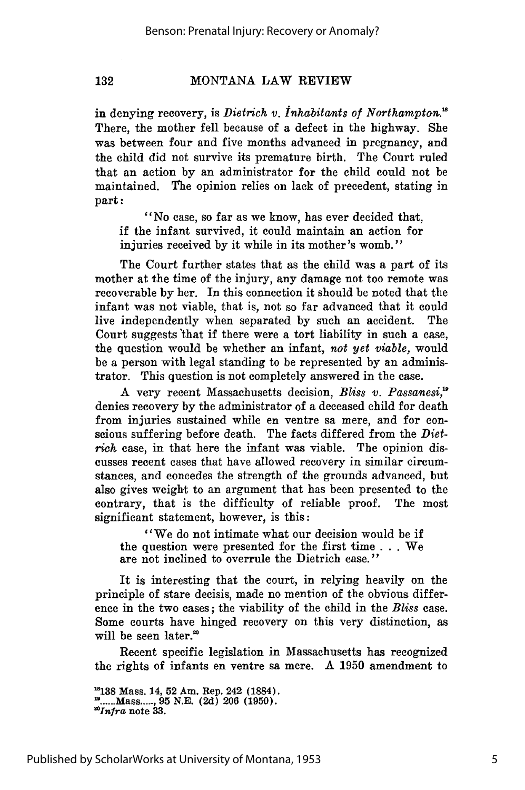132

in denying recovery, is *Dietrich v. Inhabitants of Northampton.'* There, the mother fell because of a defect in the highway. She was between four and five months advanced in pregnancy, and the child did not survive its premature birth. The Court ruled that an action by an administrator for the child could not be maintained. The opinion relies on lack of precedent, stating in part:

"No case, so far as we know, has ever decided that, if the infant survived, it could maintain an action for injuries received by it while in its mother's womb."

The Court further states that as the child was a part of its mother at the time of the injury, any damage not too remote was recoverable by her. In this connection it should be noted that the infant was not viable, that is, not so far advanced that it could live independently when separated by such an accident. The Court suggests that if there were a tort liability in such a case, the question would be whether an infant, *not yet viable,* would be a person with legal standing to be represented by an administrator. This question is not completely answered in the case.

A very recent Massachusetts decision, *Bliss v. Passanesi,'* denies recovery by the administrator of a deceased child for death from injuries sustained while en ventre sa mere, and for conscious suffering before death. The facts differed from the *Diet*rich case, in that here the infant was viable. The opinion discusses recent cases that have allowed recovery in similar circumstances, and concedes the strength of the grounds advanced, but also gives weight to an argument that has been presented to the contrary, that is the difficulty of reliable proof. The most significant statement, however, is this:

"We do not intimate what our decision would be if the question were presented for the first time . . . We are not inclined to overrule the Dietrich case."

It is interesting that the court, in relying heavily on the principle of stare decisis, made no mention of the obvious difference in the two cases; the viability of the child in the *Bliss* case. Some courts have hinged recovery on this very distinction, as will be seen later.<sup>20</sup>

Recent specific legislation in Massachusetts has recognized the rights of infants en ventre sa mere. A 1950 amendment to

**"8138** Mass. 14, **52** Am. Rep. 242 **(1884). ...... Mass...... 95** N.E. **(2d)** 206 (1950). *'Infra* note 33.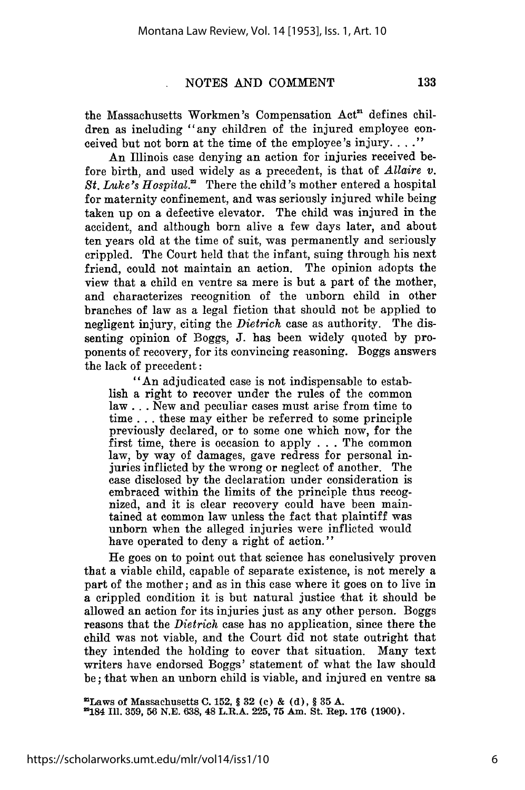the Massachusetts Workmen's Compensation Act<sup>a</sup> defines children as including "any children of the injured employee conceived but not born at the time of the employee's injury. **.. "**

An Illinois case denying an action for injuries received before birth, and used widely as a precedent, is that of *Allaire v.* St. Luke's Hospital.<sup>22</sup> There the child's mother entered a hospital for maternity confinement, and was seriously injured while being taken up on a defective elevator. The child was injured in the accident, and although born alive a few days later, and about ten years old at the time of suit, was permanently and seriously crippled. The Court held that the infant, suing through his next friend, could not maintain an action. The opinion adopts the view that a child en ventre sa mere is but a part of the mother, and characterizes recognition of the unborn child in other branches of law as a legal fiction that should not be applied to negligent injury, citing the *Dietrich* case as authority. The dissenting opinion of Boggs, J. has been widely quoted by proponents of recovery, for its convincing reasoning. Boggs answers the lack of precedent:

"An adjudicated case is not indispensable to establish a right to recover under the rules of the common law **. .** . New and peculiar cases must arise from time to time **...** these may either be referred to some principle previously declared, or to some one which now, for the first time, there is occasion to apply . . . The common law, by way of damages, gave redress for personal injuries inflicted by the wrong or neglect of another. The case disclosed by the declaration under consideration is embraced within the limits of the principle thus recognized, and it is clear recovery could have been maintained at common law unless the fact that plaintiff was unborn when the alleged injuries were inflicted would have operated to deny a right of action."

He goes on to point out that science has conclusively proven that a viable child, capable of separate existence, is not merely a part of the mother; and as in this case where it goes on to live in a crippled condition it is but natural justice that it should be allowed an action for its injuries just as any other person. Boggs reasons that the *Dietrich* case has no application, since there the child was not viable, and the Court did not state outright that they intended the holding to cover that situation. Many text writers have endorsed Boggs' statement of what the law should be; that when an unborn child is viable, and injured en ventre sa

**"Laws of Massachusetts C. 152, § 32 (c) & (d), § 35 A.**

**184 Ill. 359, 56 N.E. 638, 48 L.R.A. 225, 75 Am. St. Rep. 176 (1900).**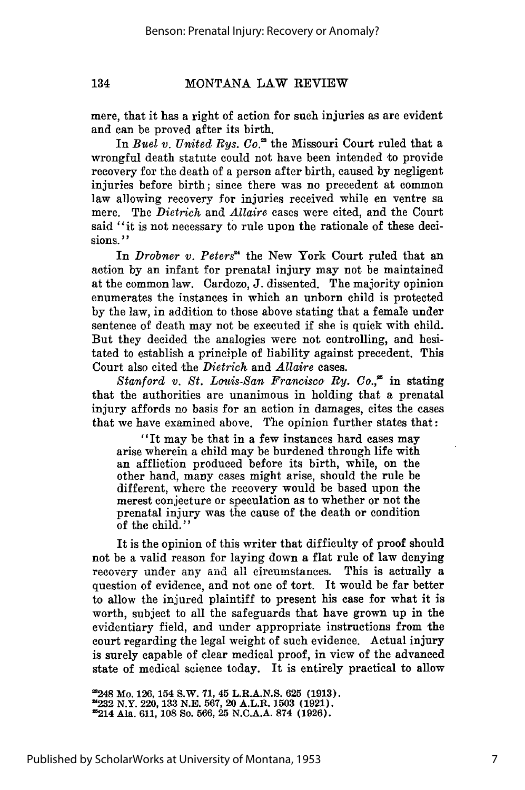134

### MONTANA LAW REVIEW

mere, that it has a right of action for such injuries as are evident and can be proved after its birth.

In *Buel v. United Rys. Co.*<sup>28</sup> the Missouri Court ruled that a wrongful death statute could not have been intended to provide recovery for the death of a person after birth, caused by negligent injuries before birth; since there was no precedent at common law allowing recovery for injuries received while en ventre sa mere. The *Dietrich* and *Allaire* cases were cited, and the Court said "it is not necessary to rule upon the rationale of these decisions. **"**

In *Drobner v. Peters"* the New York Court ruled that an action by an infant for prenatal injury may not be maintained at the common law. Cardozo, J. dissented. The majority opinion enumerates the instances in which an unborn child is protected by the law, in addition to those above stating that a female under sentence of death may not be executed if she is quick with child. But they decided the analogies were not controlling, and hesitated to establish a principle of liability against precedent. This Court also cited the *Dietrich* and *Allaire* cases.

*Stanford v. St. Louis-San Francisco Ry. Co.*<sup>25</sup> in stating that the authorities are unanimous in holding that a prenatal injury affords no basis for an action in damages, cites the cases that we have examined above. The opinion further states that:

"It may be that in a few instances hard cases may arise wherein a child may be burdened through life with an affliction produced before its birth, while, on the other hand, many cases might arise, should the rule be different, where the recovery would be based upon the merest conjecture or speculation as to whether or not the prenatal injury was the cause of the death or condition of the child."

It is the opinion of this writer that difficulty of proof should not be a valid reason for laying down a flat rule of law denying recovery under any and all circumstances. This is actually a question of evidence, and not one of tort. It would be far better to allow the injured plaintiff to present his case for what it is worth, subject to all the safeguards that have grown up in the evidentiary field, and under appropriate instructions from the court regarding the legal weight of such evidence. Actual injury is surely capable of clear medical proof, in view of the advanced state of medical science today. It is entirely practical to allow

**'248 Mo. 126, 154 S.W. 71, 45 L.R.A.N.S. 625 (1913). "232** N.Y. **220, 133 N.E. 567,** 20 A.L.R. **1503 (1921).** 25214 Ala. **611, 108 So. 566, 25 N.C.A.A. 874 (1926).**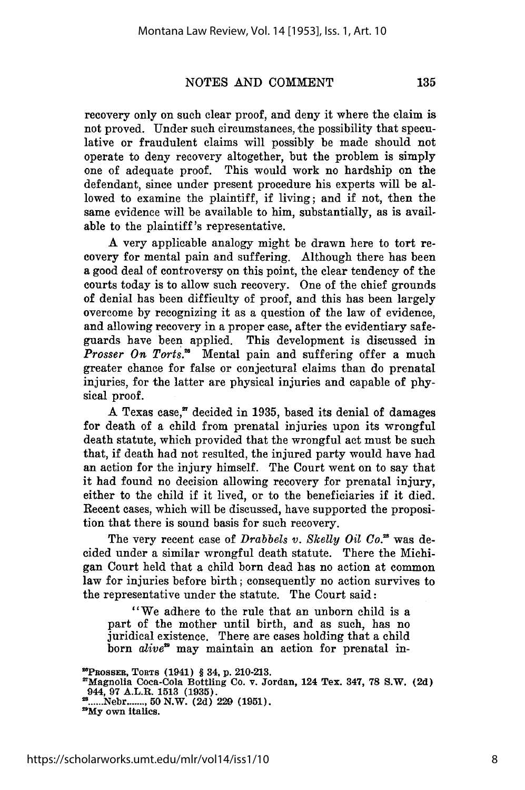recovery only on such clear proof, and deny it where the claim is not proved. Under such circumstances, the possibility that speculative or fraudulent claims will possibly be made should not operate to deny recovery altogether, but the problem is simply one of adequate proof. This would work no hardship on the defendant, since under present procedure his experts will be allowed to examine the plaintiff, if living; and if not, then the same evidence will be available to him, substantially, as is available to the plaintiff's representative.

A very applicable analogy might be drawn here to tort recovery for mental pain and suffering. Although there has been a good deal of controversy on this point, the clear tendency of the courts today is to allow such recovery. One of the chief grounds of denial has been difficulty of proof, and this has been largely overcome by recognizing it as a question of the law of evidence, and allowing recovery in a proper case, after the evidentiary safeguards have been applied. This development is discussed in *Prosser On Torts.*<sup>28</sup> Mental pain and suffering offer a much greater chance for false or conjectural claims than do prenatal injuries, for the latter are physical injuries and capable of physical proof.

A Texas case," decided in 1935, based its denial of damages for death of a child from prenatal injuries upon its wrongful death statute, which provided that the wrongful act must be such that, if death had not resulted, the injured party would have had an action for the injury himself. The Court went on to say that it had found no decision allowing recovery for prenatal injury, either to the child if it lived, or to the beneficiaries if it died. Recent cases, which will be discussed, have supported the proposition that there is sound basis for such recovery.

The very recent case of *Drabbels v. Skelly Oil Co.*<sup>28</sup> was decided under a similar wrongful death statute. There the Michigan Court held that a child born dead has no action at common law for injuries before birth; consequently no action survives to the representative under the statute. The Court said:

"We adhere to the rule that an unborn child is a part of the mother until birth, and as such, has no juridical existence. There are cases holding that a child born *alive*<sup>29</sup> may maintain an action for prenatal in-

**UPROSSER, TORTS (1941)** § **34, p. 210-213.**

**<sup>&#</sup>x27;Magnolia Coca-Cola Bottling Co. v. Jordan, 124 Tex. 347, 78 S.W. (2d) 944, 97 A.L.R. 1513 (1935). ...... Nebr ........ 50 N.W. (2d) 229 (1951). <sup>3</sup> My own italics.**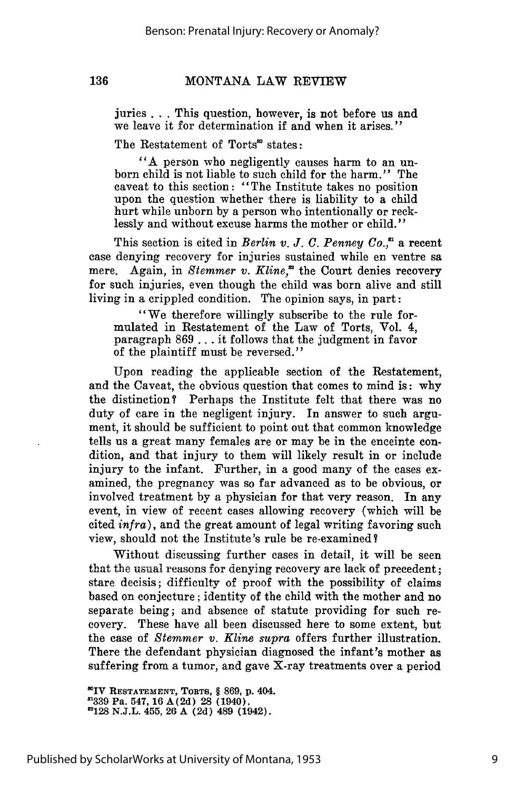juries ... This question, however, is not before us and we leave it for determination if and when it arises."

The Restatement of Torts<sup>30</sup> states:

136

"A person who negligently causes harm to an unborn child is not liable to such child for the harm." The caveat to this section: "The Institute takes no position upon the question whether there is liability to a child hurt while unborn by a person who intentionally or recklessly and without excuse harms the mother or child."

This section is cited in *Berlin v. J. C. Penney Co.*,<sup> $\alpha$ </sup> a recent case denying recovery for injuries sustained while en ventre sa mere. Again, in *Stemmer v. Kline*,<sup>22</sup> the Court denies recovery for such injuries, even though the child was born alive and still living in a crippled condition. The opinion says, in part:

"We therefore willingly subscribe to the rule formulated in Restatement of the Law of Torts, Vol. 4, paragraph 869 ... it follows that the judgment in favor of the plaintiff must be reversed."

Upon reading the applicable section of the Restatement, and the Caveat, the obvious question that comes to mind is: why the distinction? Perhaps the Institute felt that there was no duty of care in the negligent injury. In answer to such argument, it should be sufficient to point out that common knowledge tells us a great many females are or may be in the enceinte condition, and that injury to them will likely result in or include injury to the infant. Further, in a good many of the cases examined, the pregnancy was so far advanced as to be obvious, or involved treatment by a physician for that very reason. In any event, in view of recent cases allowing recovery (which will be cited *infra),* and the great amount of legal writing favoring such view, should not the Institute's rule be re-examined?

Without discussing further cases in detail, it will be seen that the usual reasons for denying recovery are lack of precedent; stare decisis; difficulty of proof with the possibility of claims based on conjecture; identity of the child with the mother and no separate being; and absence of statute providing for such recovery. These have all been discussed here to some extent, but the case of *Stemmer v. Kline supra* offers further illustration. There the defendant physician diagnosed the infant's mother as suffering from a tumor, and gave X-ray treatments over a period

'\*IV **RESTATEMENT, TORTS,** § **869, p. 404. '1339 Pa. 547, 16 A(2d) 28 (1940). 128 N.J.L. 455, 26 A (2d) 489 (1942).**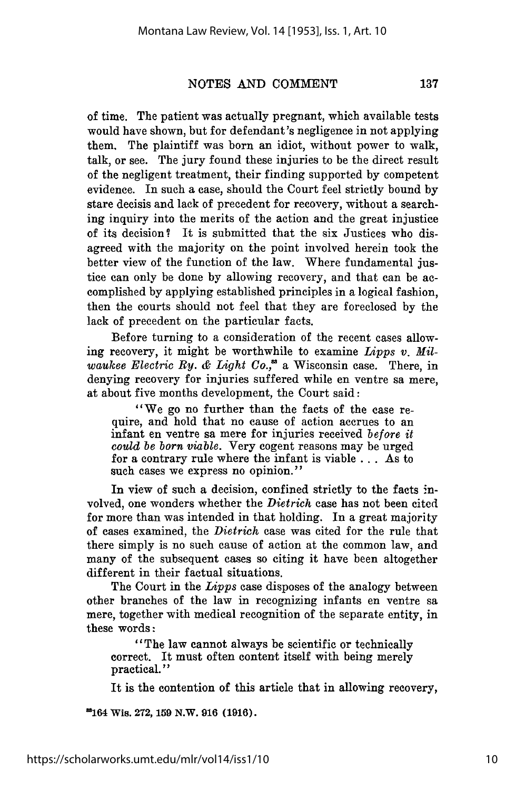of time. The patient was actually pregnant, which available tests would have shown, but for defendant's negligence in not applying them. The plaintiff was born an idiot, without power to walk, talk, or see. The jury found these injuries to be the direct result of the negligent treatment, their finding supported by competent evidence. In such a case, should the Court feel strictly bound by stare decisis and lack of precedent for recovery, without a searching inquiry into the merits of the action and the great injustice of its decision? It is submitted that the six Justices who disagreed with the majority on the point involved herein took the better view of the function of the law. Where fundamental justice can only be done by allowing recovery, and that can be accomplished by applying established principles in a logical fashion, then the courts should not feel that they are foreclosed by the lack of precedent on the particular facts.

Before turning to a consideration of the recent cases allowing recovery, it might be worthwhile to examine *Lipps v. Milwaukee Electric Ry. & Light Co.,'* a Wisconsin case. There, in denying recovery for injuries suffered while en ventre sa mere, at about five months development, the Court said:

"We go no further than the facts of the case require, and hold that no cause of action accrues to an infant en ventre sa mere for injuries received *before it could be born viable.* Very cogent reasons may be urged for a contrary rule where the infant is viable **. .** . As to such cases we express no opinion."

In view of such a decision, confined strictly to the facts involved, one wonders whether the *Dietrich* case has not been cited for more than was intended in that holding. In a great majority of cases examined, the *Dietrich* case was cited for the rule that there simply is no such cause of action at the common law, and many of the subsequent cases so citing it have been altogether different in their factual situations.

The Court in the *Lipps* case disposes of the analogy between other branches of the law in recognizing infants en ventre sa mere, together with medical recognition of the separate entity, in these words:

"The law cannot always be scientific or technically correct. It must often content itself with being merely practical."

It is the contention of this article that in allowing recovery,

'164 Wis. **272, 159 N.W. 916 (1916).**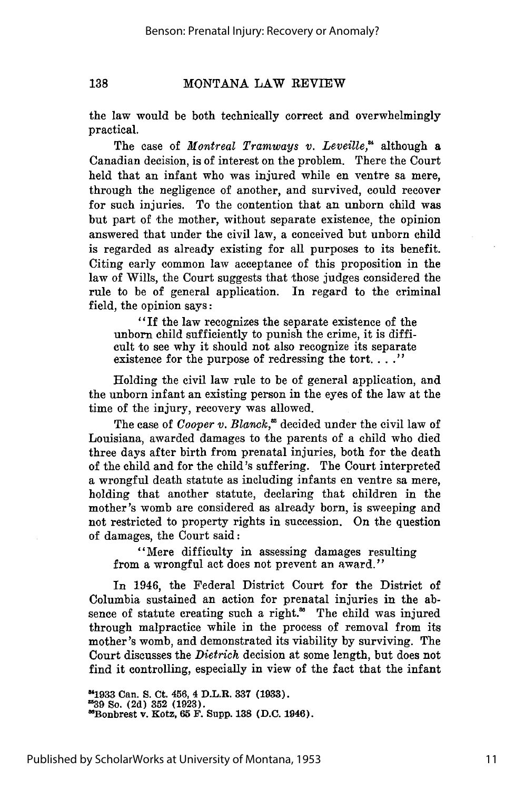138

#### MONTANA LAW REVIEW

the law would be both technically correct and overwhelmingly practical.

The case of *Montreal Tramways v. Leveille*,<sup>24</sup> although a Canadian decision, is of interest on the problem. There the Court held that an infant who was injured while en ventre sa mere, through the negligence of another, and survived, could recover for such injuries. To the contention that an unborn child was but part of the mother, without separate existence, the opinion answered that under the civil law, a conceived but unborn child is regarded as already existing for all purposes to its benefit. Citing early common law acceptance of this proposition in the law of Wills, the Court suggests that those judges considered the rule to be of general application. In regard to the criminal field, the opinion says:

"If the law recognizes the separate existence of the unborn child sufficiently to punish the crime, it is difficult to see why it should not also recognize its separate existence for the purpose of redressing the tort. **.. ."**

Holding the civil law rule to be of general application, and the unborn infant an existing person in the eyes of the law at the time of the injury, recovery was allowed.

The case of *Cooper v. Blanck*,<sup>35</sup> decided under the civil law of Louisiana, awarded damages to the parents of a child who died three days after birth from prenatal injuries, both for the death of the child and for the child's suffering. The Court interpreted a wrongful death statute as including infants en ventre sa mere, holding that another statute, declaring that children in the mother's womb are considered as already born, is sweeping and not restricted to property rights in succession. On the question of damages, the Court said:

"Mere difficulty in assessing damages resulting from a wrongful act does not prevent an award."

In 1946, the Federal District Court for the District of Columbia sustained an action for prenatal injuries in the absence of statute creating such a right.<sup>36</sup> The child was injured through malpractice while in the process of removal from its mother's womb, and demonstrated its viability by surviving. The Court discusses the *Dietrich* decision at some length, but does not find it controlling, especially in view of the fact that the infant

**"1933** Can. **S. Ct.** 456, 4 **D.L.R. 337 (1933). '39 So. (2d) 352 (1923). MBonbrest v. Kotz, 65 F. Supp. 138 (D.C. 1946).**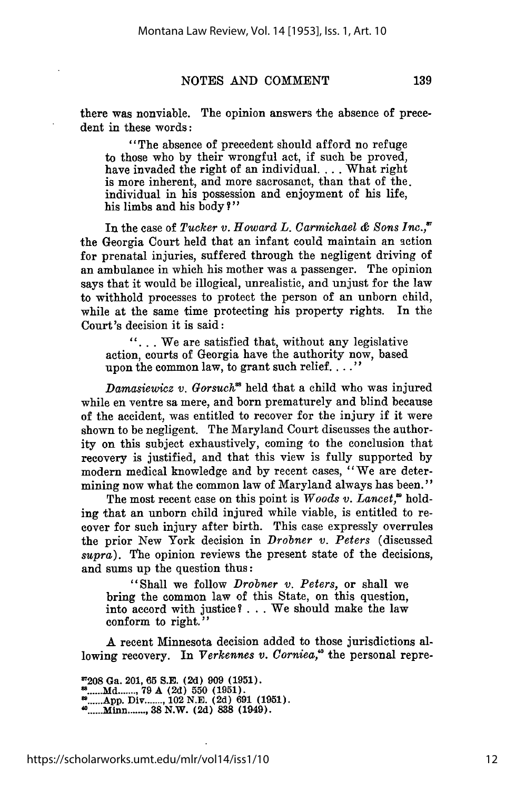there was nonviable. The opinion answers the absence of precedent in these words:

"The absence of precedent should afford no refuge to those who by their wrongful act, if such be proved, have invaded the right of an individual. ... What right is more inherent, and more sacrosanct, than that of the. individual in his possession and enjoyment of his life, his limbs and his body?"

In the case of *Tucker v. Howard L. Carmichael & Sons Inc.,* the Georgia Court held that an infant could maintain an action for prenatal injuries, suffered through the negligent driving of an ambulance in which his mother was a passenger. The opinion says that it would be illogical, unrealistic, and unjust for the law to withhold processes to protect the person of an unborn child, while at the same time protecting his property rights. In the Court's decision it is said:

**"...** We are satisfied that, without any legislative action, courts of Georgia have the authority now, based upon the common law, to grant such relief. **.... "**

*Damasiewicz v. Gorsuch*<sup>88</sup> held that a child who was injured while en ventre sa mere, and born prematurely and blind because of the accident, was entitled to recover for the injury if it were shown to be negligent. The Maryland Court discusses the authority on this subject exhaustively, coming to the conclusion that recovery is justified, and that this view is fully supported by modern medical knowledge and by recent cases, "We are determining now what the common law of Maryland always has been."

The most recent case on this point is *Woods v. Lancet*,<sup>26</sup> holding that an unborn child injured while viable, is entitled to recover for such injury after birth. This case expressly overrules the prior New York decision in *Drobner v. Peters* (discussed *supra).* The opinion reviews the present state of the decisions, and sums up the question thus:

"Shall we follow *Drobner v. Peters,* or shall we bring the common law of this State, on this question, into accord with justice? . . . We should make the law conform to right."

A recent Minnesota decision added to those jurisdictions allowing recovery. In *Verkennes v. Corniea*,<sup>6</sup> the personal repre-

**'7208** Ga. 201, **65 S.E. (2d) 909 (1951). ...... Md ......., . 79 A (2d) 550 (1951). ...... App.** Div **. ........** 102 **N.E. (2d) 691 (1951). ...... Minn ........ 38 N.W. (2d) 838** (1949).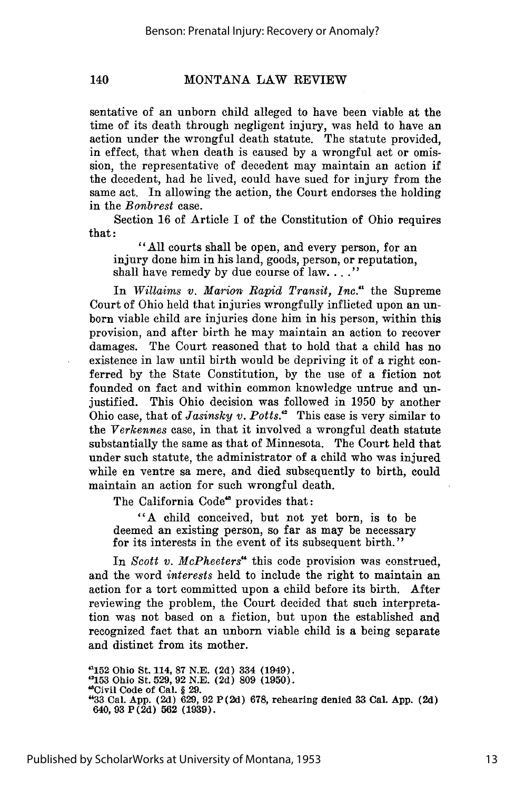140

#### MONTANA LAW REVIEW

sentative of an unborn child alleged to have been viable at the time of its death through negligent injury, was held to have an action under the wrongful death statute. The statute provided, in effect, that when death is caused by a wrongful act or omission, the representative of decedent may maintain an action if the decedent, had he lived, could have sued for injury from the same act. In allowing the action, the Court endorses the holding in the *Bonbrest* case.

Section 16 of Article I of the Constitution of Ohio requires that:

"All courts shall be open, and every person, for an injury done him in his land, goods, person, or reputation, shall have remedy by due course of law. **.... "**

In *Willaims v. Marion Rapid Transit, Inc.'1* the Supreme Court of Ohio held that injuries wrongfully inflicted upon an unborn viable child are injuries done him in his person, within this provision, and after birth he may maintain an action to recover damages. The Court reasoned that to hold that a child has no existence in law until birth would be depriving it of a right conferred by the State Constitution, by the use of a fiction not founded on fact and within common knowledge untrue and unjustified. This Ohio decision was followed in 1950 by another Ohio case, that of *Jasinsky v. Potts*.<sup>2</sup> This case is very similar to the *Verkennes* case, in that it involved a wrongful death statute substantially the same as that of Minnesota. The Court held that under such statute, the administrator of a child who was injured while en ventre sa mere, and died subsequently to birth, could maintain an action for such wrongful death.

The California Code<sup>48</sup> provides that:

"A child conceived, but not yet born, is to be deemed an existing person, so far as may be necessary for its interests in the event of its subsequent birth."

In *Scott v. McPheeters"* this code provision was construed, and the word *interests* held to include the right to maintain an action for a tort committed upon a child before its birth. After reviewing the problem, the Court decided that such interpretation was not based on a fiction, but upon the established and recognized fact that an unborn viable child is a being separate and distinct from its mother.

**"152** Ohio St. 114, **87 N.E. (2d)** 334 (1949). **"153** Ohio St. **529, 92 N.E. (2d) 809 (1950).** "Civil Code of Cal. § **29. "33** Cal. **App. (2d) 629, 92 P(2d) 678,** rehearing denied **33** Cal. **App. (2d)** 640, **93 P(2d) 562 (1939).**